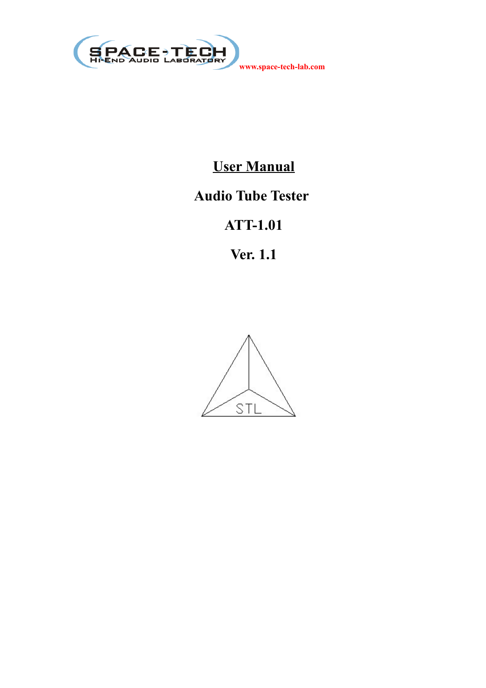

## **User Manual**

## **Audio Tube Tester**

# **ATT-1.01**

**Ver. 1.1**

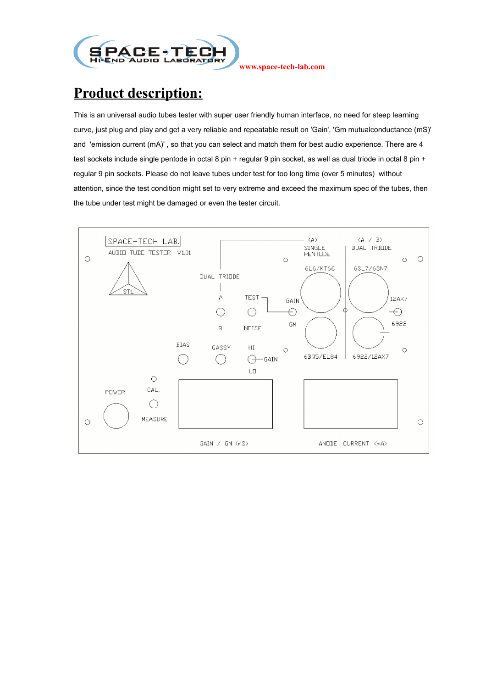

### **Product description:**

This is an universal audio tubes tester with super user friendly human interface, no need for steep learning curve, just plug and play and get a very reliable and repeatable result on 'Gain', 'Gm mutualconductance (mS)' and 'emission current (mA)' , so that you can select and match them for best audio experience. There are 4 test sockets include single pentode in octal 8 pin + regular 9 pin socket, as well as dual triode in octal 8 pin + regular 9 pin sockets. Please do not leave tubes under test for too long time (over 5 minutes) without attention, since the test condition might set to very extreme and exceed the maximum spec of the tubes, then the tube under test might be damaged or even the tester circuit.

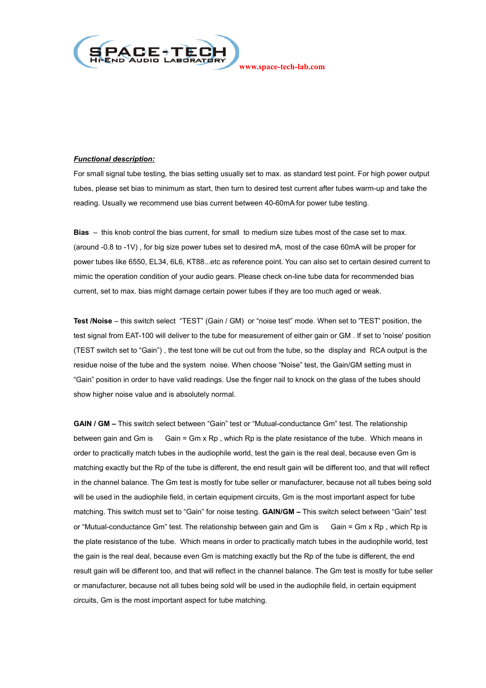

#### *Functional description:*

For small signal tube testing, the bias setting usually set to max. as standard test point. For high power output tubes, please set bias to minimum as start, then turn to desired test current after tubes warm-up and take the reading. Usually we recommend use bias current between 40-60mA for power tube testing.

**Bias** – this knob control the bias current, for small to medium size tubes most of the case set to max. (around -0.8 to -1V) , for big size power tubes set to desired mA, most of the case 60mA will be proper for power tubes like 6550, EL34, 6L6, KT88...etc as reference point. You can also set to certain desired current to mimic the operation condition of your audio gears. Please check on-line tube data for recommended bias current, set to max. bias might damage certain power tubes if they are too much aged or weak.

**Test /Noise** – this switch select "TEST" (Gain / GM) or "noise test" mode. When set to 'TEST' position, the test signal from EAT-100 will deliver to the tube for measurement of either gain or GM . If set to 'noise' position (TEST switch set to "Gain") , the test tone will be cut out from the tube, so the display and RCA output is the residue noise of the tube and the system noise. When choose "Noise" test, the Gain/GM setting must in "Gain" position in order to have valid readings. Use the finger nail to knock on the glass of the tubes should show higher noise value and is absolutely normal.

**GAIN / GM –** This switch select between "Gain" test or "Mutual-conductance Gm" test. The relationship between gain and Gm is Gain = Gm x Rp , which Rp is the plate resistance of the tube. Which means in order to practically match tubes in the audiophile world, test the gain is the real deal, because even Gm is matching exactly but the Rp of the tube is different, the end result gain will be different too, and that will reflect in the channel balance. The Gm test is mostly for tube seller or manufacturer, because not all tubes being sold will be used in the audiophile field, in certain equipment circuits, Gm is the most important aspect for tube matching. This switch must set to "Gain" for noise testing. **GAIN/GM –** This switch select between "Gain" test or "Mutual-conductance Gm" test. The relationship between gain and Gm is Gain = Gm x Rp, which Rp is the plate resistance of the tube. Which means in order to practically match tubes in the audiophile world, test the gain is the real deal, because even Gm is matching exactly but the Rp of the tube is different, the end result gain will be different too, and that will reflect in the channel balance. The Gm test is mostly for tube seller or manufacturer, because not all tubes being sold will be used in the audiophile field, in certain equipment circuits, Gm is the most important aspect for tube matching.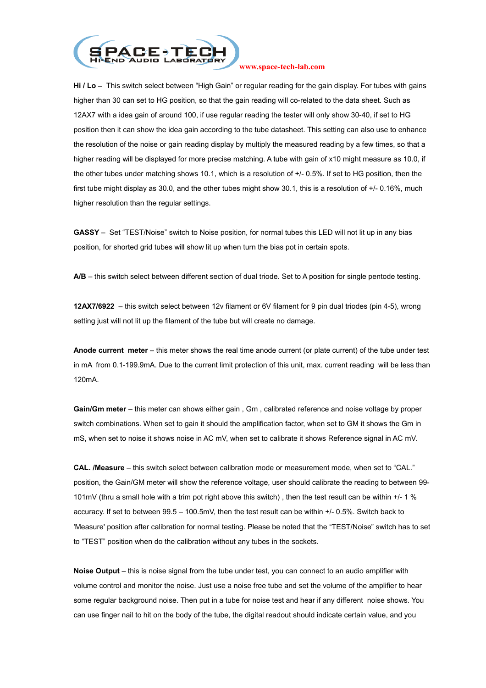

**Hi / Lo –** This switch select between "High Gain" or regular reading for the gain display. For tubes with gains higher than 30 can set to HG position, so that the gain reading will co-related to the data sheet. Such as 12AX7 with a idea gain of around 100, if use regular reading the tester will only show 30-40, if set to HG position then it can show the idea gain according to the tube datasheet. This setting can also use to enhance the resolution of the noise or gain reading display by multiply the measured reading by a few times, so that a higher reading will be displayed for more precise matching. A tube with gain of x10 might measure as 10.0, if the other tubes under matching shows 10.1, which is a resolution of +/- 0.5%. If set to HG position, then the first tube might display as 30.0, and the other tubes might show 30.1, this is a resolution of +/- 0.16%, much higher resolution than the regular settings.

**GASSY** – Set "TEST/Noise" switch to Noise position, for normal tubes this LED will not lit up in any bias position, for shorted grid tubes will show lit up when turn the bias pot in certain spots.

**A/B** – this switch select between different section of dual triode. Set to A position for single pentode testing.

**12AX7/6922** – this switch select between 12v filament or 6V filament for 9 pin dual triodes (pin 4-5), wrong setting just will not lit up the filament of the tube but will create no damage.

**Anode current meter** – this meter shows the real time anode current (or plate current) of the tube under test in mA from 0.1-199.9mA. Due to the current limit protection of this unit, max. current reading will be less than 120mA.

**Gain/Gm meter** – this meter can shows either gain , Gm , calibrated reference and noise voltage by proper switch combinations. When set to gain it should the amplification factor, when set to GM it shows the Gm in mS, when set to noise it shows noise in AC mV, when set to calibrate it shows Reference signal in AC mV.

**CAL. /Measure** – this switch select between calibration mode or measurement mode, when set to "CAL." position, the Gain/GM meter will show the reference voltage, user should calibrate the reading to between 99- 101mV (thru a small hole with a trim pot right above this switch) , then the test result can be within +/- 1 % accuracy. If set to between 99.5 – 100.5mV, then the test result can be within +/- 0.5%. Switch back to 'Measure' position after calibration for normal testing. Please be noted that the "TEST/Noise" switch has to set to "TEST" position when do the calibration without any tubes in the sockets.

**Noise Output** – this is noise signal from the tube under test, you can connect to an audio amplifier with volume control and monitor the noise. Just use a noise free tube and set the volume of the amplifier to hear some regular background noise. Then put in a tube for noise test and hear if any different noise shows. You can use finger nail to hit on the body of the tube, the digital readout should indicate certain value, and you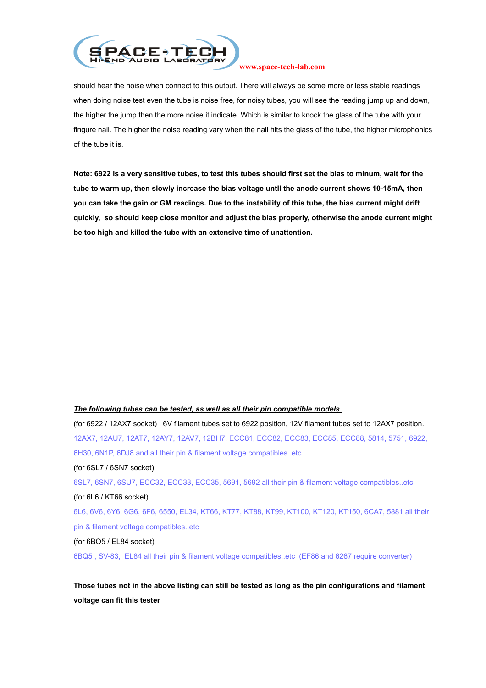

should hear the noise when connect to this output. There will always be some more or less stable readings when doing noise test even the tube is noise free, for noisy tubes, you will see the reading jump up and down, the higher the jump then the more noise it indicate. Which is similar to knock the glass of the tube with your fingure nail. The higher the noise reading vary when the nail hits the glass of the tube, the higher microphonics of the tube it is.

**Note: 6922 is a very sensitive tubes, to test this tubes should first set the bias to minum, wait for the tube to warm up, then slowly increase the bias voltage untll the anode current shows 10-15mA, then you can take the gain or GM readings. Due to the instability of this tube, the bias current might drift quickly, so should keep close monitor and adjust the bias properly, otherwise the anode current might be too high and killed the tube with an extensive time of unattention.**

#### *The following tubes can be tested, as well as all their pin compatible models*

(for 6922 / 12AX7 socket) 6V filament tubes set to 6922 position, 12V filament tubes set to 12AX7 position. 12AX7, 12AU7, 12AT7, 12AY7, 12AV7, 12BH7, ECC81, ECC82, ECC83, ECC85, ECC88, 5814, 5751, 6922, 6H30, 6N1P, 6DJ8 and all their pin & filament voltage compatibles..etc

(for 6SL7 / 6SN7 socket)

6SL7, 6SN7, 6SU7, ECC32, ECC33, ECC35, 5691, 5692 all their pin & filament voltage compatibles..etc (for 6L6 / KT66 socket)

6L6, 6V6, 6Y6, 6G6, 6F6, 6550, EL34, KT66, KT77, KT88, KT99, KT100, KT120, KT150, 6CA7, 5881 all their pin & filament voltage compatibles..etc

(for 6BQ5 / EL84 socket)

6BQ5 , SV-83, EL84 all their pin & filament voltage compatibles..etc (EF86 and 6267 require converter)

**Those tubes not in the above listing can still be tested as long as the pin configurations and filament voltage can fit this tester**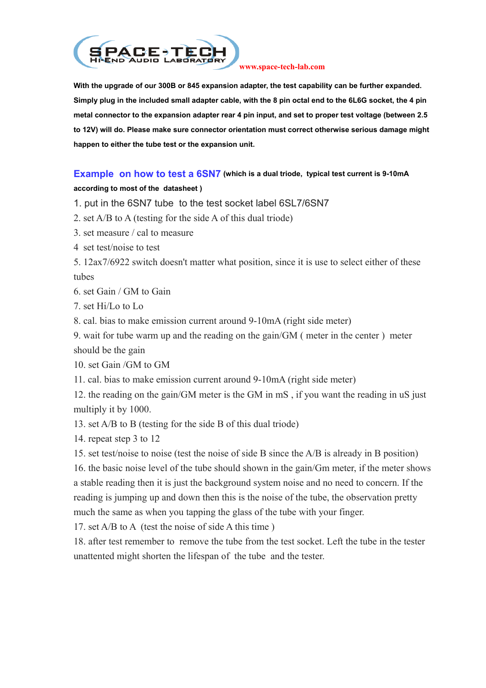

**With the upgrade of our 300B or 845 expansion adapter, the test capability can be further expanded. Simply plug in the included small adapter cable, with the 8 pin octal end to the 6L6G socket, the 4 pin metal connector to the expansion adapter rear 4 pin input, and set to proper test voltage (between 2.5 to 12V) will do. Please make sure connector orientation must correct otherwise serious damage might happen to either the tube test or the expansion unit.**

### **Example on how to test a 6SN7 (which is a dual triode, typical test current is 9-10mA**

### **according to most of the datasheet )**

1. put in the 6SN7 tube to the test socket label 6SL7/6SN7

2. set A/B to A (testing for the side A of this dual triode)

3. set measure / cal to measure

4 set test/noise to test

5. 12ax7/6922 switch doesn't matter what position, since it is use to select either of these tubes

6. set Gain / GM to Gain

7. set Hi/Lo to Lo

8. cal. bias to make emission current around 9-10mA (right side meter)

9. wait for tube warm up and the reading on the gain/GM ( meter in the center ) meter should be the gain

10. set Gain /GM to GM

11. cal. bias to make emission current around 9-10mA (right side meter)

12. the reading on the gain/GM meter is the GM in mS , if you want the reading in uS just multiply it by 1000.

13. set A/B to B (testing for the side B of this dual triode)

14. repeat step 3 to 12

15. set test/noise to noise (test the noise of side B since the A/B is already in B position)

16. the basic noise level of the tube should shown in the gain/Gm meter, if the meter shows a stable reading then it is just the background system noise and no need to concern. If the reading is jumping up and down then this is the noise of the tube, the observation pretty much the same as when you tapping the glass of the tube with your finger.

17. set A/B to A (test the noise of side A this time )

18. after test remember to remove the tube from the test socket. Left the tube in the tester unattented might shorten the lifespan of the tube and the tester.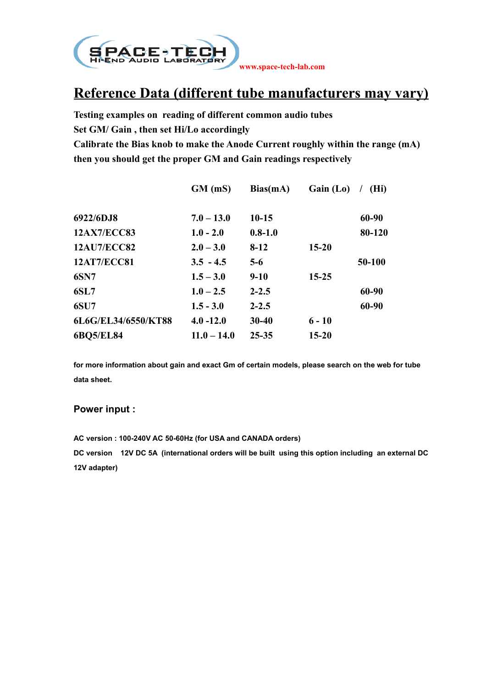

# **Reference Data (different tube manufacturers may vary)**

**Testing examples on reading of different common audio tubes Set GM/ Gain , then set Hi/Lo accordingly Calibrate the Bias knob to make the Anode Current roughly within the range (mA) then you should get the proper GM and Gain readings respectively**

|                     | $GM$ (mS)     | Bias(mA)    | Gain (Lo) | (Hi)   |
|---------------------|---------------|-------------|-----------|--------|
| 6922/6DJ8           | $7.0 - 13.0$  | $10-15$     |           | 60-90  |
| <b>12AX7/ECC83</b>  | $1.0 - 2.0$   | $0.8 - 1.0$ |           | 80-120 |
| <b>12AU7/ECC82</b>  | $2.0 - 3.0$   | $8-12$      | $15 - 20$ |        |
| <b>12AT7/ECC81</b>  | $3.5 - 4.5$   | $5-6$       |           | 50-100 |
| <b>6SN7</b>         | $1.5 - 3.0$   | $9-10$      | $15 - 25$ |        |
| <b>6SL7</b>         | $1.0 - 2.5$   | $2 - 2.5$   |           | 60-90  |
| <b>6SU7</b>         | $1.5 - 3.0$   | $2 - 2.5$   |           | 60-90  |
| 6L6G/EL34/6550/KT88 | $4.0 - 12.0$  | $30 - 40$   | $6 - 10$  |        |
| <b>6BQ5/EL84</b>    | $11.0 - 14.0$ | $25 - 35$   | $15 - 20$ |        |

**for more information about gain and exact Gm of certain models, please search on the web for tube data sheet.**

### **Power input :**

**AC version : 100-240V AC 50-60Hz (for USA and CANADA orders) DC version 12V DC 5A (international orders will be built using this option including an external DC 12V adapter)**